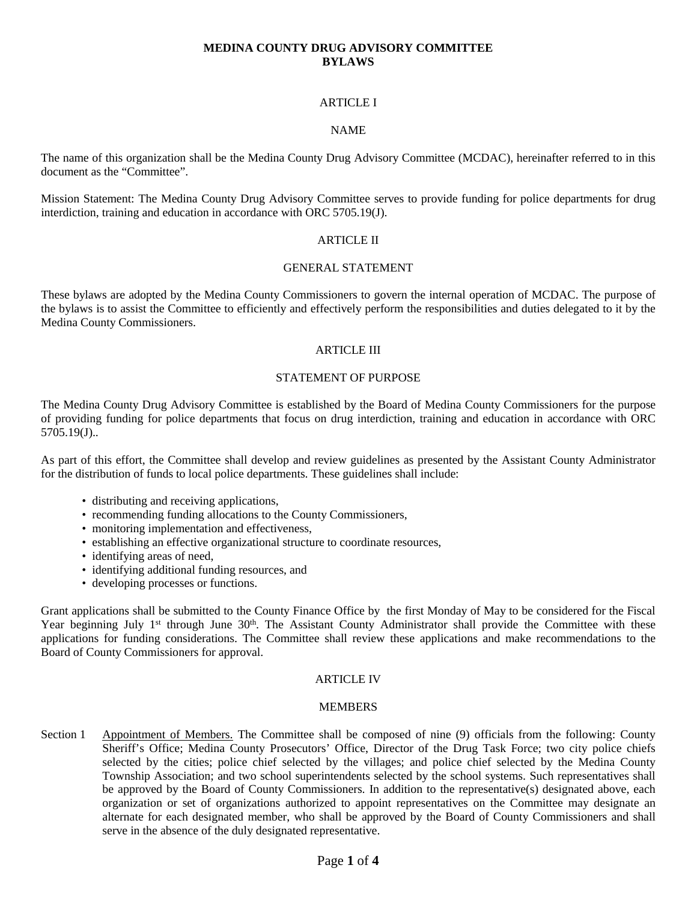## **MEDINA COUNTY DRUG ADVISORY COMMITTEE BYLAWS**

## **ARTICLE I**

#### NAME

The name of this organization shall be the Medina County Drug Advisory Committee (MCDAC), hereinafter referred to in this document as the "Committee".

Mission Statement: The Medina County Drug Advisory Committee serves to provide funding for police departments for drug interdiction, training and education in accordance with ORC 5705.19(J).

#### ARTICLE II

## GENERAL STATEMENT

These bylaws are adopted by the Medina County Commissioners to govern the internal operation of MCDAC. The purpose of the bylaws is to assist the Committee to efficiently and effectively perform the responsibilities and duties delegated to it by the Medina County Commissioners.

# ARTICLE III

### STATEMENT OF PURPOSE

The Medina County Drug Advisory Committee is established by the Board of Medina County Commissioners for the purpose of providing funding for police departments that focus on drug interdiction, training and education in accordance with ORC 5705.19(J)..

As part of this effort, the Committee shall develop and review guidelines as presented by the Assistant County Administrator for the distribution of funds to local police departments. These guidelines shall include:

- distributing and receiving applications,
- recommending funding allocations to the County Commissioners,
- monitoring implementation and effectiveness,
- establishing an effective organizational structure to coordinate resources,
- identifying areas of need,
- identifying additional funding resources, and
- developing processes or functions.

Grant applications shall be submitted to the County Finance Office by the first Monday of May to be considered for the Fiscal Year beginning July 1<sup>st</sup> through June 30<sup>th</sup>. The Assistant County Administrator shall provide the Committee with these applications for funding considerations. The Committee shall review these applications and make recommendations to the Board of County Commissioners for approval.

### **ARTICLE IV**

### **MEMBERS**

Section 1 Appointment of Members. The Committee shall be composed of nine (9) officials from the following: County Sheriff's Office; Medina County Prosecutors' Office, Director of the Drug Task Force; two city police chiefs selected by the cities; police chief selected by the villages; and police chief selected by the Medina County Township Association; and two school superintendents selected by the school systems. Such representatives shall be approved by the Board of County Commissioners. In addition to the representative(s) designated above, each organization or set of organizations authorized to appoint representatives on the Committee may designate an alternate for each designated member, who shall be approved by the Board of County Commissioners and shall serve in the absence of the duly designated representative.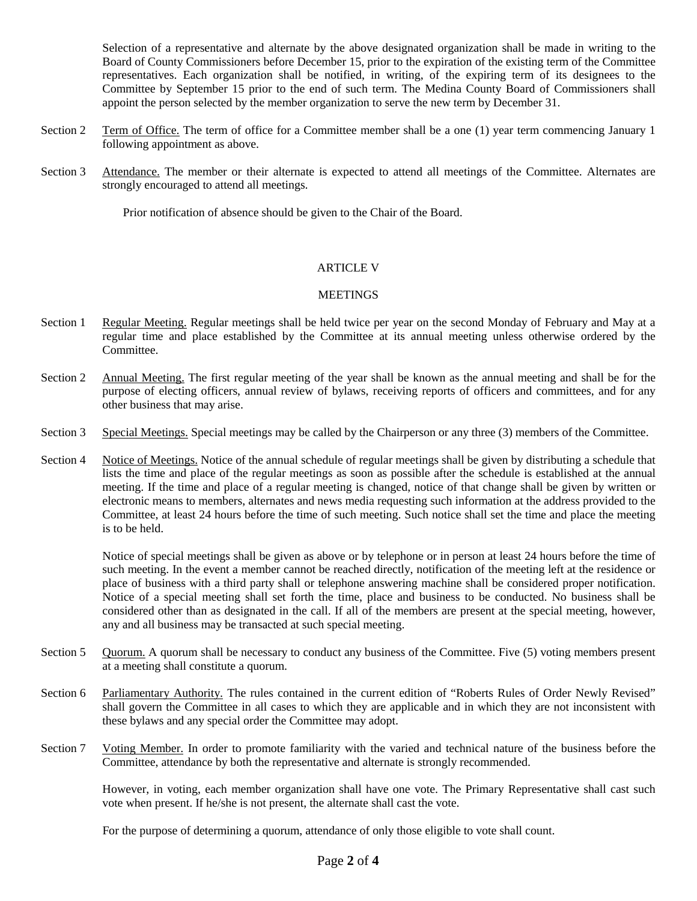Selection of a representative and alternate by the above designated organization shall be made in writing to the Board of County Commissioners before December 15, prior to the expiration of the existing term of the Committee representatives. Each organization shall be notified, in writing, of the expiring term of its designees to the Committee by September 15 prior to the end of such term. The Medina County Board of Commissioners shall appoint the person selected by the member organization to serve the new term by December 31.

- Section 2 Term of Office. The term of office for a Committee member shall be a one (1) year term commencing January 1 following appointment as above.
- Section 3 Attendance. The member or their alternate is expected to attend all meetings of the Committee. Alternates are strongly encouraged to attend all meetings.

Prior notification of absence should be given to the Chair of the Board.

### ARTICLE V

## **MEETINGS**

- Section 1 Regular Meeting. Regular meetings shall be held twice per year on the second Monday of February and May at a regular time and place established by the Committee at its annual meeting unless otherwise ordered by the Committee.
- Section 2 Annual Meeting. The first regular meeting of the year shall be known as the annual meeting and shall be for the purpose of electing officers, annual review of bylaws, receiving reports of officers and committees, and for any other business that may arise.
- Section 3 Special Meetings. Special meetings may be called by the Chairperson or any three (3) members of the Committee.
- Section 4 Notice of Meetings. Notice of the annual schedule of regular meetings shall be given by distributing a schedule that lists the time and place of the regular meetings as soon as possible after the schedule is established at the annual meeting. If the time and place of a regular meeting is changed, notice of that change shall be given by written or electronic means to members, alternates and news media requesting such information at the address provided to the Committee, at least 24 hours before the time of such meeting. Such notice shall set the time and place the meeting is to be held.

Notice of special meetings shall be given as above or by telephone or in person at least 24 hours before the time of such meeting. In the event a member cannot be reached directly, notification of the meeting left at the residence or place of business with a third party shall or telephone answering machine shall be considered proper notification. Notice of a special meeting shall set forth the time, place and business to be conducted. No business shall be considered other than as designated in the call. If all of the members are present at the special meeting, however, any and all business may be transacted at such special meeting.

- Section 5 Quorum. A quorum shall be necessary to conduct any business of the Committee. Five (5) voting members present at a meeting shall constitute a quorum.
- Section 6 Parliamentary Authority. The rules contained in the current edition of "Roberts Rules of Order Newly Revised" shall govern the Committee in all cases to which they are applicable and in which they are not inconsistent with these bylaws and any special order the Committee may adopt.
- Section 7 Voting Member. In order to promote familiarity with the varied and technical nature of the business before the Committee, attendance by both the representative and alternate is strongly recommended.

However, in voting, each member organization shall have one vote. The Primary Representative shall cast such vote when present. If he/she is not present, the alternate shall cast the vote.

For the purpose of determining a quorum, attendance of only those eligible to vote shall count.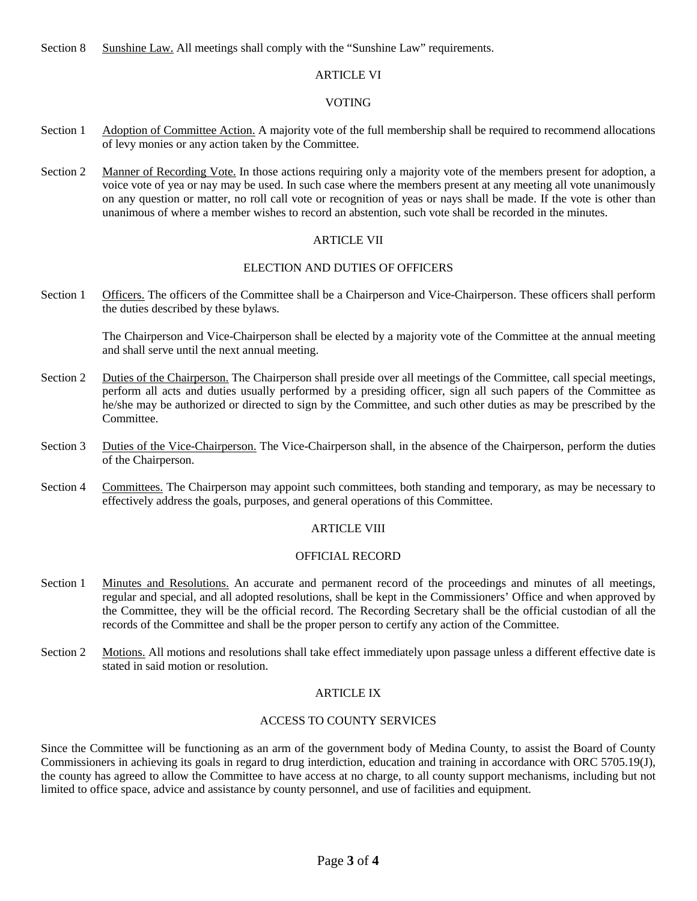Section 8 Sunshine Law. All meetings shall comply with the "Sunshine Law" requirements.

# ARTICLE VI

## VOTING

- Section 1 Adoption of Committee Action. A majority vote of the full membership shall be required to recommend allocations of levy monies or any action taken by the Committee.
- Section 2 Manner of Recording Vote. In those actions requiring only a majority vote of the members present for adoption, a voice vote of yea or nay may be used. In such case where the members present at any meeting all vote unanimously on any question or matter, no roll call vote or recognition of yeas or nays shall be made. If the vote is other than unanimous of where a member wishes to record an abstention, such vote shall be recorded in the minutes.

### ARTICLE VII

### ELECTION AND DUTIES OF OFFICERS

Section 1 Officers. The officers of the Committee shall be a Chairperson and Vice-Chairperson. These officers shall perform the duties described by these bylaws.

The Chairperson and Vice-Chairperson shall be elected by a majority vote of the Committee at the annual meeting and shall serve until the next annual meeting.

- Section 2 Duties of the Chairperson. The Chairperson shall preside over all meetings of the Committee, call special meetings, perform all acts and duties usually performed by a presiding officer, sign all such papers of the Committee as he/she may be authorized or directed to sign by the Committee, and such other duties as may be prescribed by the Committee.
- Section 3 Duties of the Vice-Chairperson. The Vice-Chairperson shall, in the absence of the Chairperson, perform the duties of the Chairperson.
- Section 4 Committees. The Chairperson may appoint such committees, both standing and temporary, as may be necessary to effectively address the goals, purposes, and general operations of this Committee.

# ARTICLE VIII

### OFFICIAL RECORD

- Section 1 Minutes and Resolutions. An accurate and permanent record of the proceedings and minutes of all meetings, regular and special, and all adopted resolutions, shall be kept in the Commissioners' Office and when approved by the Committee, they will be the official record. The Recording Secretary shall be the official custodian of all the records of the Committee and shall be the proper person to certify any action of the Committee.
- Section 2 Motions. All motions and resolutions shall take effect immediately upon passage unless a different effective date is stated in said motion or resolution.

### ARTICLE IX

### ACCESS TO COUNTY SERVICES

Since the Committee will be functioning as an arm of the government body of Medina County, to assist the Board of County Commissioners in achieving its goals in regard to drug interdiction, education and training in accordance with ORC 5705.19(J), the county has agreed to allow the Committee to have access at no charge, to all county support mechanisms, including but not limited to office space, advice and assistance by county personnel, and use of facilities and equipment.